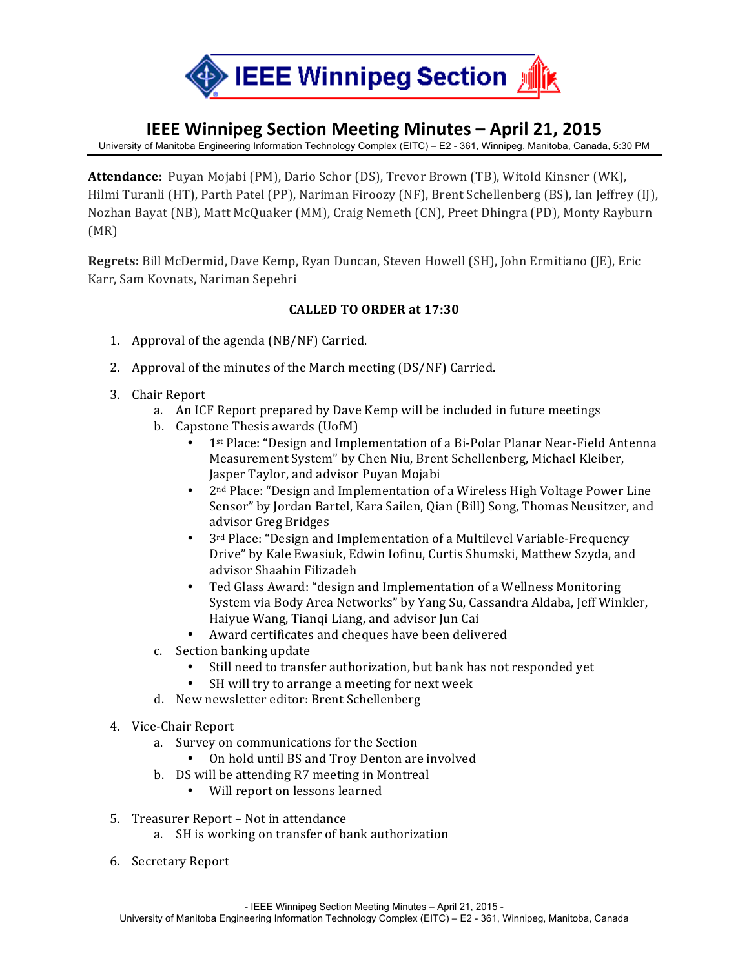

# **IEEE Winnipeg Section Meeting Minutes – April 21, 2015**

University of Manitoba Engineering Information Technology Complex (EITC) – E2 - 361, Winnipeg, Manitoba, Canada, 5:30 PM

**Attendance:** Puyan Mojabi (PM), Dario Schor (DS), Trevor Brown (TB), Witold Kinsner (WK), Hilmi Turanli (HT), Parth Patel (PP), Nariman Firoozy (NF), Brent Schellenberg (BS), Ian Jeffrey (IJ), Nozhan Bayat (NB), Matt McQuaker (MM), Craig Nemeth (CN), Preet Dhingra (PD), Monty Rayburn (MR)

**Regrets:** Bill McDermid, Dave Kemp, Ryan Duncan, Steven Howell (SH), John Ermitiano (JE), Eric Karr, Sam Kovnats, Nariman Sepehri

#### **CALLED)TO)ORDER at 17:30**

- 1. Approval of the agenda  $(NB/NF)$  Carried.
- 2. Approval of the minutes of the March meeting  $(DS/NF)$  Carried.
- 3. Chair Report
	- a. An ICF Report prepared by Dave Kemp will be included in future meetings
	- b. Capstone Thesis awards (UofM)
		- 1st Place: "Design and Implementation of a Bi-Polar Planar Near-Field Antenna Measurement System" by Chen Niu, Brent Schellenberg, Michael Kleiber, Jasper Taylor, and advisor Puyan Mojabi
		- 2<sup>nd</sup> Place: "Design and Implementation of a Wireless High Voltage Power Line Sensor" by Jordan Bartel, Kara Sailen, Qian (Bill) Song, Thomas Neusitzer, and advisor Greg Bridges
		- 3<sup>rd</sup> Place: "Design and Implementation of a Multilevel Variable-Frequency Drive" by Kale Ewasiuk, Edwin Iofinu, Curtis Shumski, Matthew Szyda, and advisor!Shaahin!Filizadeh
		- Ted Glass Award: "design and Implementation of a Wellness Monitoring System via Body Area Networks" by Yang Su, Cassandra Aldaba, Jeff Winkler, Haiyue Wang, Tianqi Liang, and advisor Jun Cai
		- Award certificates and cheques have been delivered
	- c. Section banking update
		- Still need to transfer authorization, but bank has not responded yet
		- SH will try to arrange a meeting for next week
	- d. New newsletter editor: Brent Schellenberg
- 4. Vice-Chair Report
	- a. Survey on communications for the Section
		- On hold until BS and Troy Denton are involved
	- b. DS will be attending R7 meeting in Montreal
		- Will report on lessons learned
- 5. Treasurer Report Not in attendance
	- a. SH is working on transfer of bank authorization
- 6. Secretary!Report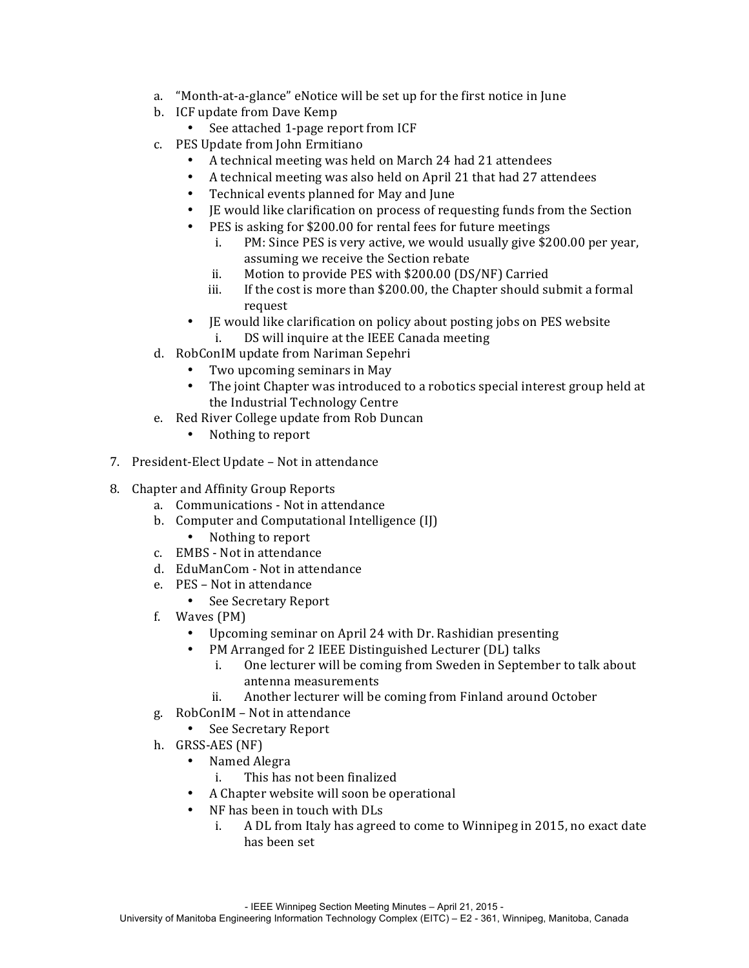- a. "Month-at-a-glance" eNotice will be set up for the first notice in June
- b. ICF update from Dave Kemp
	- See attached 1-page report from ICF
- c. PES Update from John Ermitiano
	- A technical meeting was held on March 24 had 21 attendees
	- A technical meeting was also held on April 21 that had 27 attendees
	- Technical events planned for May and June
	- If would like clarification on process of requesting funds from the Section
	- PES is asking for \$200.00 for rental fees for future meetings
		- i. PM: Since PES is very active, we would usually give  $$200.00$  per year, assuming we receive the Section rebate
		- ii. Motion to provide PES with \$200.00 (DS/NF) Carried
		- iii. If the cost is more than \$200.00, the Chapter should submit a formal request
	- IE would like clarification on policy about posting jobs on PES website i. DS will inquire at the IEEE Canada meeting
- d. RobConIM update from Nariman Sepehri
	- Two upcoming seminars in May
	- The joint Chapter was introduced to a robotics special interest group held at the Industrial Technology Centre
- e. Red River College update from Rob Duncan
	- Nothing to report
- 7. President-Elect Update Not in attendance
- 8. Chapter and Affinity Group Reports
	- a. Communications Not in attendance
	- b. Computer and Computational Intelligence (II)
		- Nothing to report
	- c. EMBS Not in attendance
	- d. EduManCom Not in attendance
	- e. PES Not in attendance
		- See Secretary Report
	- f. Waves  $(PM)$ 
		- Upcoming seminar on April 24 with Dr. Rashidian presenting
		- PM Arranged for 2 IEEE Distinguished Lecturer (DL) talks
			- i. One lecturer will be coming from Sweden in September to talk about antenna!measurements
			- ii. Another lecturer will be coming from Finland around October
	- g. RobConIM Not in attendance
		- See Secretary Report
	- h. GRSS-AES (NF)
		- Named Alegra
			- i. This has not been finalized
		- A Chapter website will soon be operational
		- NF has been in touch with DLs
			- i. A DL from Italy has agreed to come to Winnipeg in 2015, no exact date has been set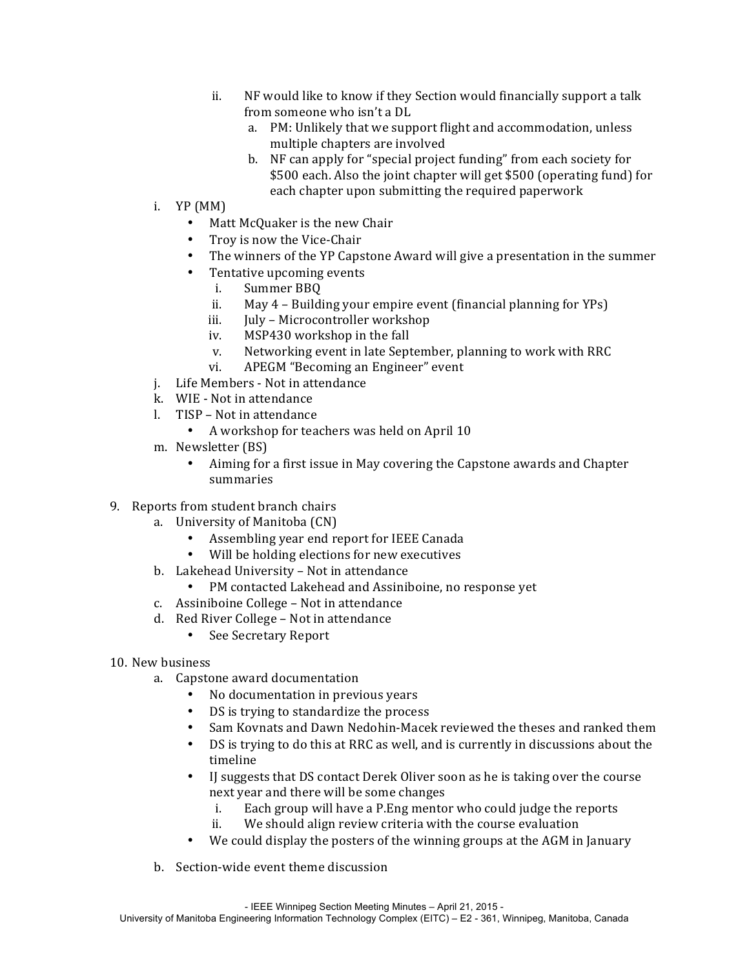- ii. NF would like to know if they Section would financially support a talk from someone who isn't a DL
	- a. PM: Unlikely that we support flight and accommodation, unless multiple chapters are involved
	- b. NF can apply for "special project funding" from each society for \$500 each. Also the joint chapter will get \$500 (operating fund) for each chapter upon submitting the required paperwork
- i.  $YP(MM)$ 
	- Matt McQuaker is the new Chair
	- Troy is now the Vice-Chair
	- The winners of the YP Capstone Award will give a presentation in the summer
	- Tentative upcoming events
		- i. Summer BBQ
		- ii. May  $4$  Building your empire event (financial planning for YPs)
		- iii. July Microcontroller workshop
		- iv. MSP430 workshop in the fall
		- v. Networking event in late September, planning to work with RRC
		- vi. APEGM "Becoming an Engineer" event
- j. Life Members Not in attendance
- k. WIE Not in attendance
- l. TISP Not in attendance
	- A workshop for teachers was held on April 10
- m. Newsletter (BS)
	- Aiming for a first issue in May covering the Capstone awards and Chapter summaries
- 9. Reports from student branch chairs
	- a. University of Manitoba (CN)
		- Assembling year end report for IEEE Canada
		- Will be holding elections for new executives
	- b. Lakehead University Not in attendance
		- PM contacted Lakehead and Assiniboine, no response yet
	- c. Assiniboine College Not in attendance
	- d. Red River College Not in attendance
		- See Secretary Report
- 10. New business
	- a. Capstone award documentation
		- No documentation in previous years
		- DS is trying to standardize the process
		- Sam Kovnats and Dawn Nedohin-Macek reviewed the theses and ranked them
		- DS is trying to do this at RRC as well, and is currently in discussions about the timeline
		- IJ suggests that DS contact Derek Oliver soon as he is taking over the course next year and there will be some changes
			- i. Each group will have a P.Eng mentor who could judge the reports
			- ii. We should align review criteria with the course evaluation
		- We could display the posters of the winning groups at the AGM in January
	- b. Section-wide event theme discussion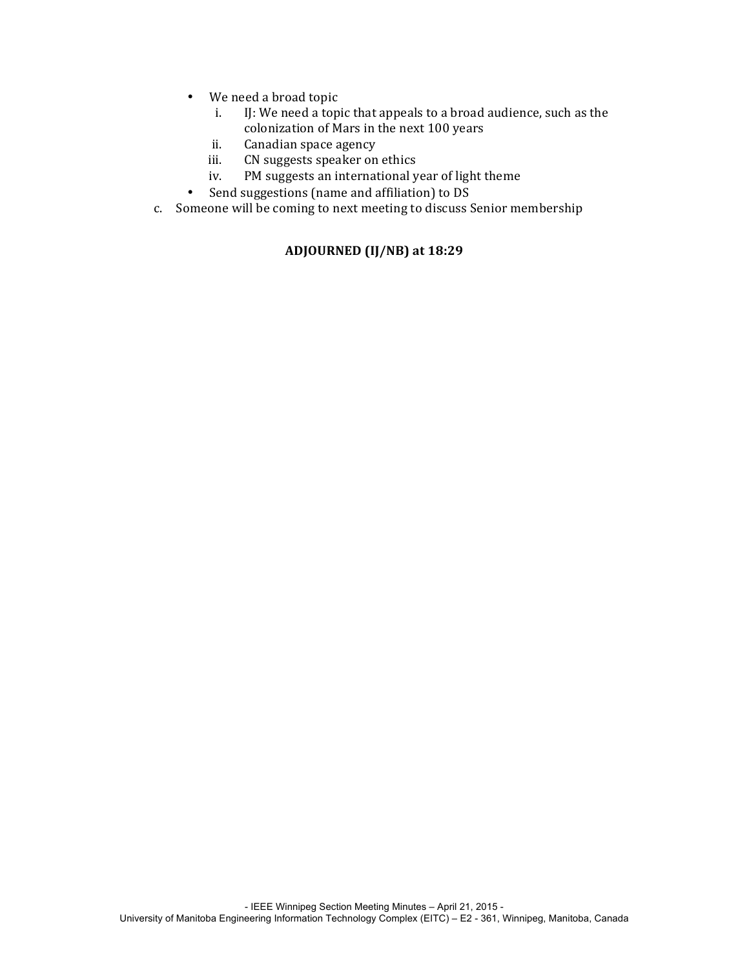- We need a broad topic
	- i. IJ: We need a topic that appeals to a broad audience, such as the colonization of Mars in the next 100 years
	- ii. Canadian space agency
	- iii. CN suggests speaker on ethics
	- iv. PM suggests an international year of light theme
- Send suggestions (name and affiliation) to DS
- c. Someone will be coming to next meeting to discuss Senior membership

## **ADJOURNED (IJ/NB) at)18:29**